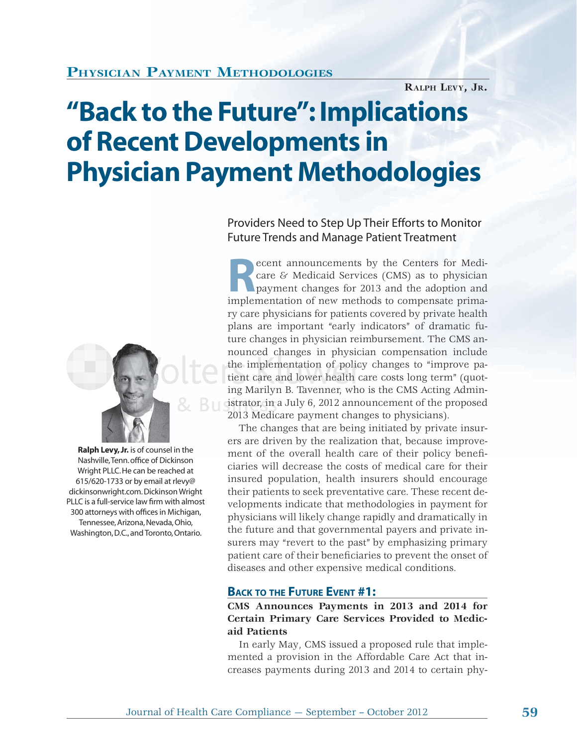## **PHYSICIAN PAYMENT METHODOLOGIES**

**RALPH LEVY, JR.**

# **"Back to the Future": Implications of Recent Developments in Physician Payment Methodologies**



 **Ralph Levy, Jr.** is of counsel in the Nashville, Tenn. office of Dickinson Wright PLLC. He can be reached at 615/620-1733 or by email at rlevy@ dickinsonwright.com. Dickinson Wright PLLC is a full-service law firm with almost 300 attorneys with offices in Michigan, Tennessee, Arizona, Nevada, Ohio, Washington, D.C., and Toronto, Ontario.

Providers Need to Step Up Their Efforts to Monitor Future Trends and Manage Patient Treatment

**Recent announcements by the Centers for Medicare & Medicaid Services (CMS) as to physician payment changes for 2013 and the adoption and implementation of new methods to compensate prima**care & Medicaid Services (CMS) as to physician payment changes for 2013 and the adoption and implementation of new methods to compensate primary care physicians for patients covered by private health plans are important "early indicators" of dramatic future changes in physician reimbursement. The CMS announced changes in physician compensation include the implementation of policy changes to "improve patient care and lower health care costs long term" (quoting Marilyn B. Tavenner, who is the CMS Acting Administrator, in a July 6, 2012 announcement of the proposed 2013 Medicare payment changes to physicians).

The changes that are being initiated by private insurers are driven by the realization that, because improvement of the overall health care of their policy beneficiaries will decrease the costs of medical care for their insured population, health insurers should encourage their patients to seek preventative care. These recent developments indicate that methodologies in payment for physicians will likely change rapidly and dramatically in the future and that governmental payers and private insurers may "revert to the past" by emphasizing primary patient care of their beneficiaries to prevent the onset of diseases and other expensive medical conditions.

### **BACK TO THE FUTURE EVENT #1:**

**CMS Announces Payments in 2013 and 2014 for Certain Primary Care Services Provided to Medicaid Patients**

In early May, CMS issued a proposed rule that implemented a provision in the Affordable Care Act that increases payments during 2013 and 2014 to certain phy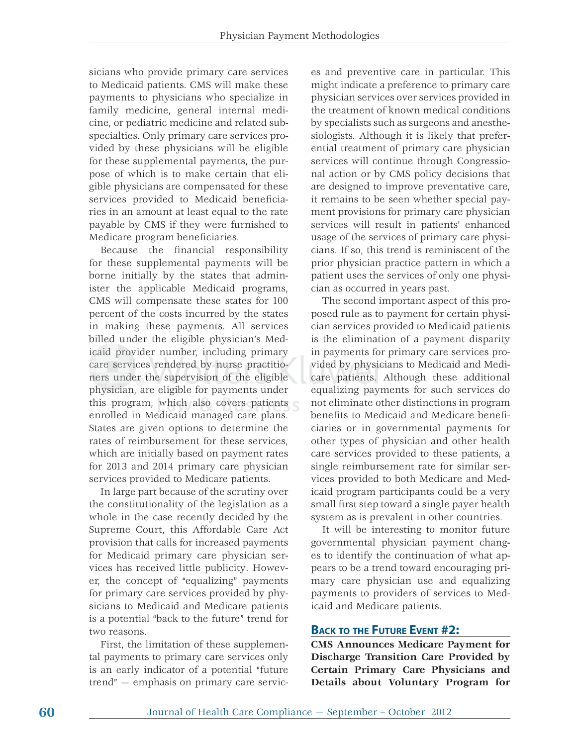sicians who provide primary care services to Medicaid patients. CMS will make these payments to physicians who specialize in family medicine, general internal medicine, or pediatric medicine and related subspecialties. Only primary care services provided by these physicians will be eligible for these supplemental payments, the purpose of which is to make certain that eligible physicians are compensated for these services provided to Medicaid beneficiaries in an amount at least equal to the rate payable by CMS if they were furnished to Medicare program beneficiaries.

Because the financial responsibility for these supplemental payments will be borne initially by the states that administer the applicable Medicaid programs, CMS will compensate these states for 100 percent of the costs incurred by the states in making these payments. All services billed under the eligible physician's Medicaid provider number, including primary icaid provider number, including primary<br>care services rendered by nurse practitiocare services rendered by nurse practitio-<br>ners under the supervision of the eligible physician, are eligible for payments under hysicia this program, which also covers patients enrolled in Medicaid managed care plans. States are given options to determine the rates of reimbursement for these services, which are initially based on payment rates for 2013 and 2014 primary care physician services provided to Medicare patients.

In large part because of the scrutiny over the constitutionality of the legislation as a whole in the case recently decided by the Supreme Court, this Affordable Care Act provision that calls for increased payments for Medicaid primary care physician services has received little publicity. However, the concept of "equalizing" payments for primary care services provided by physicians to Medicaid and Medicare patients is a potential "back to the future" trend for two reasons.

First, the limitation of these supplemental payments to primary care services only is an early indicator of a potential "future trend" — emphasis on primary care servic-

es and preventive care in particular. This might indicate a preference to primary care physician services over services provided in the treatment of known medical conditions by specialists such as surgeons and anesthesiologists. Although it is likely that preferential treatment of primary care physician services will continue through Congressional action or by CMS policy decisions that are designed to improve preventative care, it remains to be seen whether special payment provisions for primary care physician services will result in patients' enhanced usage of the services of primary care physicians. If so, this trend is reminiscent of the prior physician practice pattern in which a patient uses the services of only one physician as occurred in years past.

The second important aspect of this proposed rule as to payment for certain physician services provided to Medicaid patients is the elimination of a payment disparity in payments for primary care services provided by physicians to Medicaid and Medicare patients. Although these additional equalizing payments for such services do not eliminate other distinctions in program benefits to Medicaid and Medicare beneficiaries or in governmental payments for other types of physician and other health care services provided to these patients, a single reimbursement rate for similar services provided to both Medicare and Medicaid program participants could be a very small first step toward a single payer health system as is prevalent in other countries.

It will be interesting to monitor future governmental physician payment changes to identify the continuation of what appears to be a trend toward encouraging primary care physician use and equalizing payments to providers of services to Medicaid and Medicare patients.

#### **BACK TO THE FUTURE EVENT #2:**

**CMS Announces Medicare Payment for Discharge Transition Care Provided by Certain Primary Care Physicians and Details about Voluntary Program for**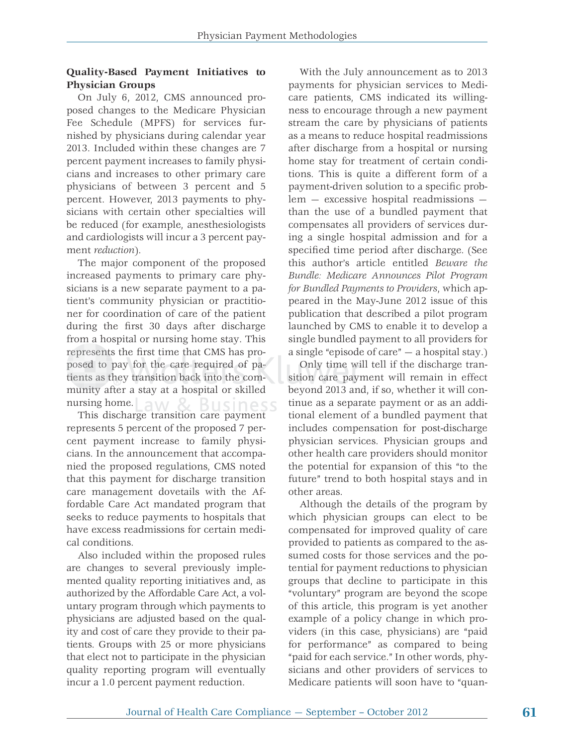### **Quality-Based Payment Initiatives to Physician Groups**

On July 6, 2012, CMS announced proposed changes to the Medicare Physician Fee Schedule (MPFS) for services furnished by physicians during calendar year 2013. Included within these changes are 7 percent payment increases to family physicians and increases to other primary care physicians of between 3 percent and 5 percent. However, 2013 payments to physicians with certain other specialties will be reduced (for example, anesthesiologists and cardiologists will incur a 3 percent payment *reduction*).

The major component of the proposed increased payments to primary care physicians is a new separate payment to a patient's community physician or practitioner for coordination of care of the patient during the first 30 days after discharge from a hospital or nursing home stay. This represents the first time that CMS has proposed to pay for the care required of patients as they transition back into the community after a stay at a hospital or skilled nursing home.  $AN<sub>S</sub>$ 31Isiness

This discharge transition care payment represents 5 percent of the proposed 7 percent payment increase to family physicians. In the announcement that accompanied the proposed regulations, CMS noted that this payment for discharge transition care management dovetails with the Affordable Care Act mandated program that seeks to reduce payments to hospitals that have excess readmissions for certain medical conditions.

Also included within the proposed rules are changes to several previously implemented quality reporting initiatives and, as authorized by the Affordable Care Act, a voluntary program through which payments to physicians are adjusted based on the quality and cost of care they provide to their patients. Groups with 25 or more physicians that elect not to participate in the physician quality reporting program will eventually incur a 1.0 percent payment reduction.

With the July announcement as to 2013 payments for physician services to Medicare patients, CMS indicated its willingness to encourage through a new payment stream the care by physicians of patients as a means to reduce hospital readmissions after discharge from a hospital or nursing home stay for treatment of certain conditions. This is quite a different form of a payment-driven solution to a specific problem — excessive hospital readmissions than the use of a bundled payment that compensates all providers of services during a single hospital admission and for a specified time period after discharge. (See this author's article entitled *Beware the Bundle: Medicare Announces Pilot Program for Bundled Payments to Providers*, which appeared in the May-June 2012 issue of this publication that described a pilot program launched by CMS to enable it to develop a single bundled payment to all providers for a single "episode of care" — a hospital stay.)

Only time will tell if the discharge transition care payment will remain in effect beyond 2013 and, if so, whether it will continue as a separate payment or as an additional element of a bundled payment that includes compensation for post-discharge physician services. Physician groups and other health care providers should monitor the potential for expansion of this "to the future" trend to both hospital stays and in other areas.

Although the details of the program by which physician groups can elect to be compensated for improved quality of care provided to patients as compared to the assumed costs for those services and the potential for payment reductions to physician groups that decline to participate in this "voluntary" program are beyond the scope of this article, this program is yet another example of a policy change in which providers (in this case, physicians) are "paid for performance" as compared to being "paid for each service." In other words, physicians and other providers of services to Medicare patients will soon have to "quan-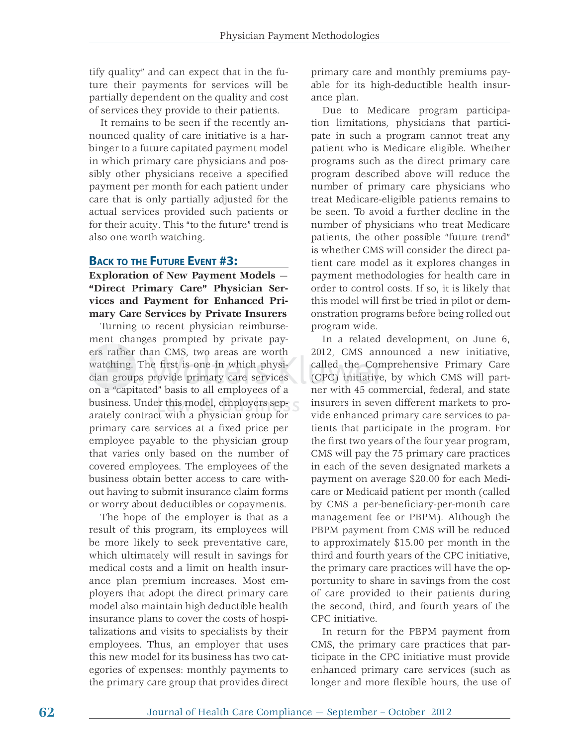tify quality" and can expect that in the future their payments for services will be partially dependent on the quality and cost of services they provide to their patients.

It remains to be seen if the recently announced quality of care initiative is a harbinger to a future capitated payment model in which primary care physicians and possibly other physicians receive a specified payment per month for each patient under care that is only partially adjusted for the actual services provided such patients or for their acuity. This "to the future" trend is also one worth watching.

#### **BACK TO THE FUTURE EVENT #3:**

**Exploration of New Payment Models** — **"Direct Primary Care" Physician Services and Payment for Enhanced Primary Care Services by Private Insurers**

Turning to recent physician reimbursement changes prompted by private payers rather than CMS, two areas are worth watching. The first is one in which physician groups provide primary care services on a "capitated" basis to all employees of a business. Under this model, employers separately contract with a physician group for h h f primary care services at a fixed price per employee payable to the physician group that varies only based on the number of covered employees. The employees of the business obtain better access to care without having to submit insurance claim forms or worry about deductibles or copayments.

The hope of the employer is that as a result of this program, its employees will be more likely to seek preventative care, which ultimately will result in savings for medical costs and a limit on health insurance plan premium increases. Most employers that adopt the direct primary care model also maintain high deductible health insurance plans to cover the costs of hospitalizations and visits to specialists by their employees. Thus, an employer that uses this new model for its business has two categories of expenses: monthly payments to the primary care group that provides direct primary care and monthly premiums payable for its high-deductible health insurance plan.

Due to Medicare program participation limitations, physicians that participate in such a program cannot treat any patient who is Medicare eligible. Whether programs such as the direct primary care program described above will reduce the number of primary care physicians who treat Medicare-eligible patients remains to be seen. To avoid a further decline in the number of physicians who treat Medicare patients, the other possible "future trend" is whether CMS will consider the direct patient care model as it explores changes in payment methodologies for health care in order to control costs. If so, it is likely that this model will first be tried in pilot or demonstration programs before being rolled out program wide.

In a related development, on June 6, 2012, CMS announced a new initiative, called the Comprehensive Primary Care (CPC) initiative, by which CMS will part-(CP C) in tiati v ner with 45 commercial, federal, and state insurers in seven different markets to provide enhanced primary care services to patients that participate in the program. For the first two years of the four year program, CMS will pay the 75 primary care practices in each of the seven designated markets a payment on average \$20.00 for each Medicare or Medicaid patient per month (called by CMS a per-beneficiary-per-month care management fee or PBPM). Although the PBPM payment from CMS will be reduced to approximately \$15.00 per month in the third and fourth years of the CPC initiative, the primary care practices will have the opportunity to share in savings from the cost of care provided to their patients during the second, third, and fourth years of the CPC initiative.

In return for the PBPM payment from CMS, the primary care practices that participate in the CPC initiative must provide enhanced primary care services (such as longer and more flexible hours, the use of